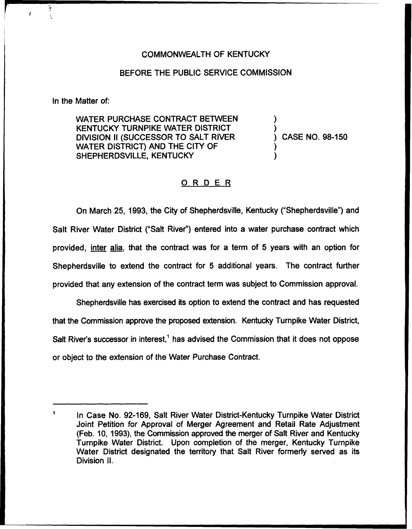## COMMONWEALTH OF KENTUCKY

## BEFORE THE PUBLIC SERVICE COMMISSION

In the Matter of:

WATER PURCHASE CONTRACT BETWEEN KENTUCKY TURNPIKE WATER DISTRICT DIVISION II (SUCCESSOR TO SALT RIVER WATER DISTRICT) AND THE CITY OF SHEPHERDSVILLE, KENTUCKY

) ) ) CASE NO. 98-150 ) )

## ORDER

On March 25, 1993, the City of Shepherdsville, Kentucky ("Shepherdsville") and Salt River Water District ("Salt River") entered into a water purchase contract which provided, inter alia, that the contract was for a term of 5 years with an option for Shepherdsville to extend the contract for 5 additional years. The contract further provided that any extension of the contract term was subject to Commission approval.

Shepherdsville has exercised its option to extend the contract and has requested that the Commission approve the proposed extension. Kentucky Turnpike Water District, Salt River's successor in interest,<sup>1</sup> has advised the Commission that it does not oppose or object to the extension of the Water Purchase Contract.

 $\blacksquare$ In Case No. 92-169, Salt River Water District-Kentucky Turnpike Water District Joint Petition for Approval of Merger Agreement and Retail Rate Adjustment (Feb. 10, 1993), the Commission approved the merger of Salt River and Kentucky Turnpike Water District. Upon completion of the merger, Kentucky Turnpike Water District designated the territory that Salt River formerly served as its Division II.